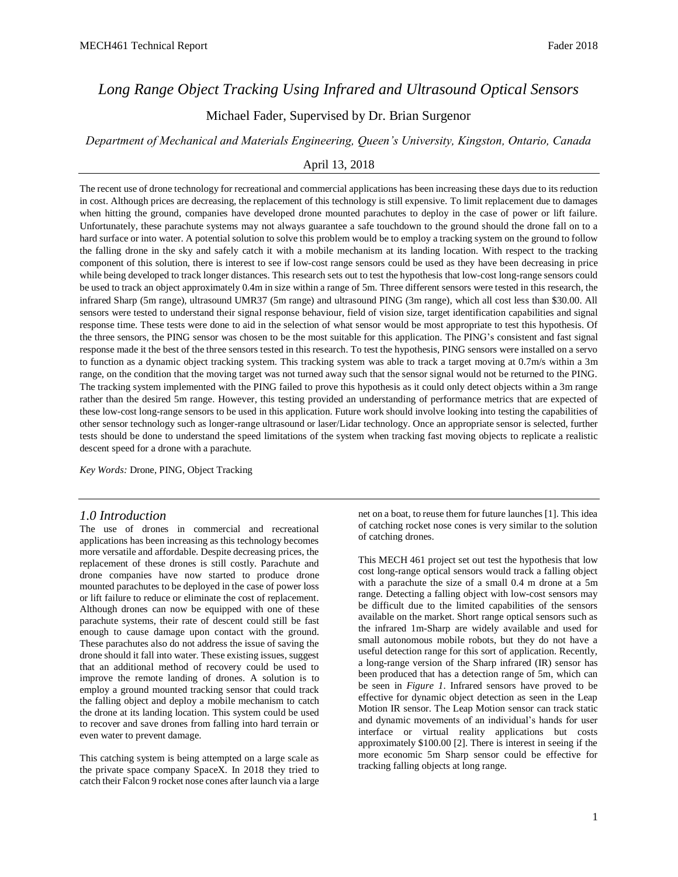# *Long Range Object Tracking Using Infrared and Ultrasound Optical Sensors*

Michael Fader, Supervised by Dr. Brian Surgenor

*Department of Mechanical and Materials Engineering, Queen's University, Kingston, Ontario, Canada*

# April 13, 2018

The recent use of drone technology for recreational and commercial applications has been increasing these days due to its reduction in cost. Although prices are decreasing, the replacement of this technology is still expensive. To limit replacement due to damages when hitting the ground, companies have developed drone mounted parachutes to deploy in the case of power or lift failure. Unfortunately, these parachute systems may not always guarantee a safe touchdown to the ground should the drone fall on to a hard surface or into water. A potential solution to solve this problem would be to employ a tracking system on the ground to follow the falling drone in the sky and safely catch it with a mobile mechanism at its landing location. With respect to the tracking component of this solution, there is interest to see if low-cost range sensors could be used as they have been decreasing in price while being developed to track longer distances. This research sets out to test the hypothesis that low-cost long-range sensors could be used to track an object approximately 0.4m in size within a range of 5m. Three different sensors were tested in this research, the infrared Sharp (5m range), ultrasound UMR37 (5m range) and ultrasound PING (3m range), which all cost less than \$30.00. All sensors were tested to understand their signal response behaviour, field of vision size, target identification capabilities and signal response time. These tests were done to aid in the selection of what sensor would be most appropriate to test this hypothesis. Of the three sensors, the PING sensor was chosen to be the most suitable for this application. The PING's consistent and fast signal response made it the best of the three sensors tested in this research. To test the hypothesis, PING sensors were installed on a servo to function as a dynamic object tracking system. This tracking system was able to track a target moving at 0.7m/s within a 3m range, on the condition that the moving target was not turned away such that the sensor signal would not be returned to the PING. The tracking system implemented with the PING failed to prove this hypothesis as it could only detect objects within a 3m range rather than the desired 5m range. However, this testing provided an understanding of performance metrics that are expected of these low-cost long-range sensors to be used in this application. Future work should involve looking into testing the capabilities of other sensor technology such as longer-range ultrasound or laser/Lidar technology. Once an appropriate sensor is selected, further tests should be done to understand the speed limitations of the system when tracking fast moving objects to replicate a realistic descent speed for a drone with a parachute.

*Key Words:* Drone, PING, Object Tracking

# *1.0 Introduction*

The use of drones in commercial and recreational applications has been increasing as this technology becomes more versatile and affordable. Despite decreasing prices, the replacement of these drones is still costly. Parachute and drone companies have now started to produce drone mounted parachutes to be deployed in the case of power loss or lift failure to reduce or eliminate the cost of replacement. Although drones can now be equipped with one of these parachute systems, their rate of descent could still be fast enough to cause damage upon contact with the ground. These parachutes also do not address the issue of saving the drone should it fall into water. These existing issues, suggest that an additional method of recovery could be used to improve the remote landing of drones. A solution is to employ a ground mounted tracking sensor that could track the falling object and deploy a mobile mechanism to catch the drone at its landing location. This system could be used to recover and save drones from falling into hard terrain or even water to prevent damage.

This catching system is being attempted on a large scale as the private space company SpaceX. In 2018 they tried to catch their Falcon 9 rocket nose cones after launch via a large

net on a boat, to reuse them for future launches [1]. This idea of catching rocket nose cones is very similar to the solution of catching drones.

This MECH 461 project set out test the hypothesis that low cost long-range optical sensors would track a falling object with a parachute the size of a small 0.4 m drone at a 5m range. Detecting a falling object with low-cost sensors may be difficult due to the limited capabilities of the sensors available on the market. Short range optical sensors such as the infrared 1m-Sharp are widely available and used for small autonomous mobile robots, but they do not have a useful detection range for this sort of application. Recently, a long-range version of the Sharp infrared (IR) sensor has been produced that has a detection range of 5m, which can be seen in *Figure 1*. Infrared sensors have proved to be effective for dynamic object detection as seen in the Leap Motion IR sensor. The Leap Motion sensor can track static and dynamic movements of an individual's hands for user interface or virtual reality applications but costs approximately \$100.00 [2]. There is interest in seeing if the more economic 5m Sharp sensor could be effective for tracking falling objects at long range.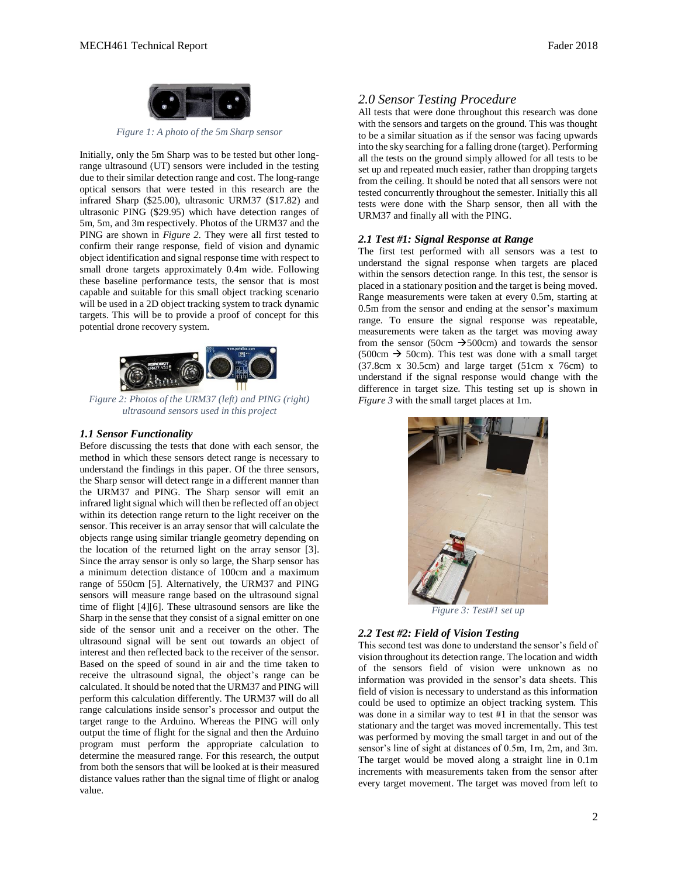

*Figure 1: A photo of the 5m Sharp sensor*

Initially, only the 5m Sharp was to be tested but other longrange ultrasound (UT) sensors were included in the testing due to their similar detection range and cost. The long-range optical sensors that were tested in this research are the infrared Sharp (\$25.00), ultrasonic URM37 (\$17.82) and ultrasonic PING (\$29.95) which have detection ranges of 5m, 5m, and 3m respectively. Photos of the URM37 and the PING are shown in *Figure 2*. They were all first tested to confirm their range response, field of vision and dynamic object identification and signal response time with respect to small drone targets approximately 0.4m wide. Following these baseline performance tests, the sensor that is most capable and suitable for this small object tracking scenario will be used in a 2D object tracking system to track dynamic targets. This will be to provide a proof of concept for this potential drone recovery system.



*Figure 2: Photos of the URM37 (left) and PING (right) ultrasound sensors used in this project*

# *1.1 Sensor Functionality*

Before discussing the tests that done with each sensor, the method in which these sensors detect range is necessary to understand the findings in this paper. Of the three sensors, the Sharp sensor will detect range in a different manner than the URM37 and PING. The Sharp sensor will emit an infrared light signal which will then be reflected off an object within its detection range return to the light receiver on the sensor. This receiver is an array sensor that will calculate the objects range using similar triangle geometry depending on the location of the returned light on the array sensor [3]. Since the array sensor is only so large, the Sharp sensor has a minimum detection distance of 100cm and a maximum range of 550cm [5]. Alternatively, the URM37 and PING sensors will measure range based on the ultrasound signal time of flight [4][6]. These ultrasound sensors are like the Sharp in the sense that they consist of a signal emitter on one side of the sensor unit and a receiver on the other. The ultrasound signal will be sent out towards an object of interest and then reflected back to the receiver of the sensor. Based on the speed of sound in air and the time taken to receive the ultrasound signal, the object's range can be calculated. It should be noted that the URM37 and PING will perform this calculation differently. The URM37 will do all range calculations inside sensor's processor and output the target range to the Arduino. Whereas the PING will only output the time of flight for the signal and then the Arduino program must perform the appropriate calculation to determine the measured range. For this research, the output from both the sensors that will be looked at is their measured distance values rather than the signal time of flight or analog value.

# *2.0 Sensor Testing Procedure*

All tests that were done throughout this research was done with the sensors and targets on the ground. This was thought to be a similar situation as if the sensor was facing upwards into the sky searching for a falling drone (target). Performing all the tests on the ground simply allowed for all tests to be set up and repeated much easier, rather than dropping targets from the ceiling. It should be noted that all sensors were not tested concurrently throughout the semester. Initially this all tests were done with the Sharp sensor, then all with the URM37 and finally all with the PING.

# *2.1 Test #1: Signal Response at Range*

The first test performed with all sensors was a test to understand the signal response when targets are placed within the sensors detection range. In this test, the sensor is placed in a stationary position and the target is being moved. Range measurements were taken at every 0.5m, starting at 0.5m from the sensor and ending at the sensor's maximum range. To ensure the signal response was repeatable, measurements were taken as the target was moving away from the sensor (50cm  $\rightarrow$  500cm) and towards the sensor  $(500cm \rightarrow 50cm)$ . This test was done with a small target (37.8cm x 30.5cm) and large target (51cm x 76cm) to understand if the signal response would change with the difference in target size. This testing set up is shown in *Figure 3* with the small target places at 1m.



*Figure 3: Test#1 set up*

# *2.2 Test #2: Field of Vision Testing*

This second test was done to understand the sensor's field of vision throughout its detection range. The location and width of the sensors field of vision were unknown as no information was provided in the sensor's data sheets. This field of vision is necessary to understand as this information could be used to optimize an object tracking system. This was done in a similar way to test #1 in that the sensor was stationary and the target was moved incrementally. This test was performed by moving the small target in and out of the sensor's line of sight at distances of 0.5m, 1m, 2m, and 3m. The target would be moved along a straight line in 0.1m increments with measurements taken from the sensor after every target movement. The target was moved from left to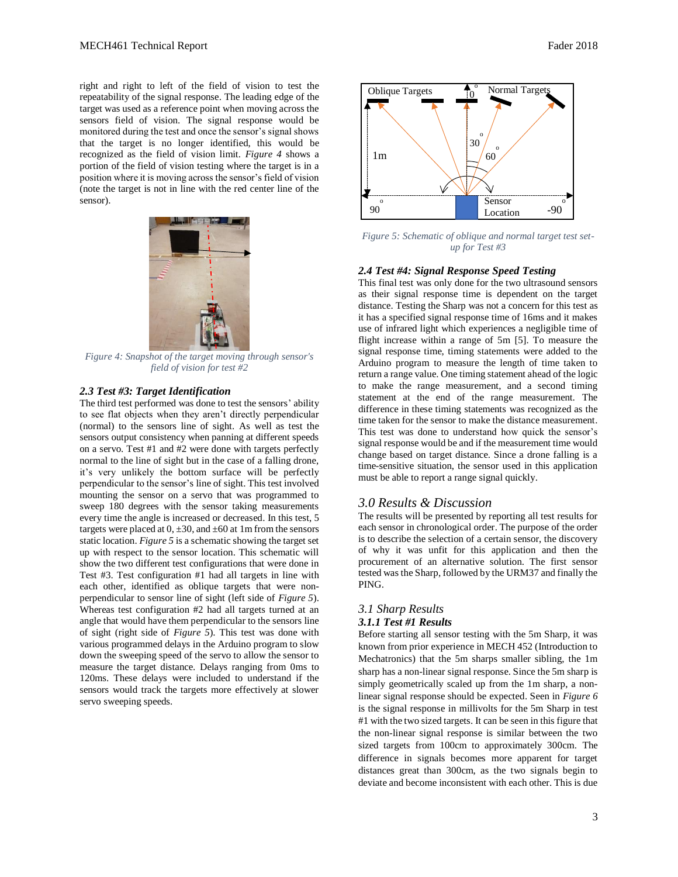right and right to left of the field of vision to test the repeatability of the signal response. The leading edge of the target was used as a reference point when moving across the sensors field of vision. The signal response would be monitored during the test and once the sensor's signal shows that the target is no longer identified, this would be recognized as the field of vision limit. *Figure 4* shows a portion of the field of vision testing where the target is in a position where it is moving across the sensor's field of vision (note the target is not in line with the red center line of the sensor).



*Figure 4: Snapshot of the target moving through sensor's field of vision for test #2*

# *2.3 Test #3: Target Identification*

The third test performed was done to test the sensors' ability to see flat objects when they aren't directly perpendicular (normal) to the sensors line of sight. As well as test the sensors output consistency when panning at different speeds on a servo. Test #1 and #2 were done with targets perfectly normal to the line of sight but in the case of a falling drone, it's very unlikely the bottom surface will be perfectly perpendicular to the sensor's line of sight. This test involved mounting the sensor on a servo that was programmed to sweep 180 degrees with the sensor taking measurements every time the angle is increased or decreased. In this test, 5 targets were placed at  $0, \pm 30$ , and  $\pm 60$  at 1m from the sensors static location. *Figure 5* is a schematic showing the target set up with respect to the sensor location. This schematic will show the two different test configurations that were done in Test #3. Test configuration #1 had all targets in line with each other, identified as oblique targets that were nonperpendicular to sensor line of sight (left side of *Figure 5*). Whereas test configuration #2 had all targets turned at an angle that would have them perpendicular to the sensors line of sight (right side of *Figure 5*). This test was done with various programmed delays in the Arduino program to slow down the sweeping speed of the servo to allow the sensor to measure the target distance. Delays ranging from 0ms to 120ms. These delays were included to understand if the sensors would track the targets more effectively at slower servo sweeping speeds.



*Figure 5: Schematic of oblique and normal target test setup for Test #3*

#### *2.4 Test #4: Signal Response Speed Testing*

This final test was only done for the two ultrasound sensors as their signal response time is dependent on the target distance. Testing the Sharp was not a concern for this test as it has a specified signal response time of 16ms and it makes use of infrared light which experiences a negligible time of flight increase within a range of 5m [5]. To measure the signal response time, timing statements were added to the Arduino program to measure the length of time taken to return a range value. One timing statement ahead of the logic to make the range measurement, and a second timing statement at the end of the range measurement. The difference in these timing statements was recognized as the time taken for the sensor to make the distance measurement. This test was done to understand how quick the sensor's signal response would be and if the measurement time would change based on target distance. Since a drone falling is a time-sensitive situation, the sensor used in this application must be able to report a range signal quickly.

# *3.0 Results & Discussion*

The results will be presented by reporting all test results for each sensor in chronological order. The purpose of the order is to describe the selection of a certain sensor, the discovery of why it was unfit for this application and then the procurement of an alternative solution. The first sensor tested was the Sharp, followed by the URM37 and finally the PING.

# *3.1 Sharp Results 3.1.1 Test #1 Results*

Before starting all sensor testing with the 5m Sharp, it was known from prior experience in MECH 452 (Introduction to Mechatronics) that the 5m sharps smaller sibling, the 1m sharp has a non-linear signal response. Since the 5m sharp is simply geometrically scaled up from the 1m sharp, a nonlinear signal response should be expected. Seen in *Figure 6* is the signal response in millivolts for the 5m Sharp in test #1 with the two sized targets. It can be seen in this figure that the non-linear signal response is similar between the two sized targets from 100cm to approximately 300cm. The difference in signals becomes more apparent for target distances great than 300cm, as the two signals begin to deviate and become inconsistent with each other. This is due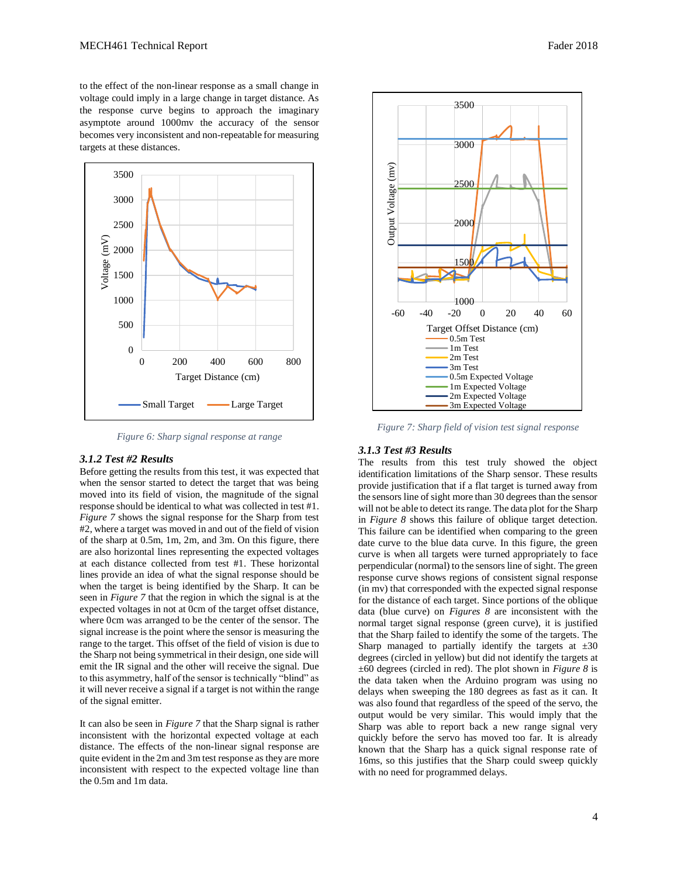to the effect of the non-linear response as a small change in voltage could imply in a large change in target distance. As the response curve begins to approach the imaginary asymptote around 1000mv the accuracy of the sensor becomes very inconsistent and non-repeatable for measuring targets at these distances.



*Figure 6: Sharp signal response at range*

### *3.1.2 Test #2 Results*

Before getting the results from this test, it was expected that when the sensor started to detect the target that was being moved into its field of vision, the magnitude of the signal response should be identical to what was collected in test #1. *Figure 7* shows the signal response for the Sharp from test #2, where a target was moved in and out of the field of vision of the sharp at 0.5m, 1m, 2m, and 3m. On this figure, there are also horizontal lines representing the expected voltages at each distance collected from test #1. These horizontal lines provide an idea of what the signal response should be when the target is being identified by the Sharp. It can be seen in *Figure 7* that the region in which the signal is at the expected voltages in not at 0cm of the target offset distance, where 0cm was arranged to be the center of the sensor. The signal increase is the point where the sensor is measuring the range to the target. This offset of the field of vision is due to the Sharp not being symmetrical in their design, one side will emit the IR signal and the other will receive the signal. Due to this asymmetry, half of the sensor is technically "blind" as it will never receive a signal if a target is not within the range of the signal emitter.

It can also be seen in *Figure 7* that the Sharp signal is rather inconsistent with the horizontal expected voltage at each distance. The effects of the non-linear signal response are quite evident in the 2m and 3m test response as they are more inconsistent with respect to the expected voltage line than the 0.5m and 1m data.



*Figure 7: Sharp field of vision test signal response*

# *3.1.3 Test #3 Results*

The results from this test truly showed the object identification limitations of the Sharp sensor. These results provide justification that if a flat target is turned away from the sensors line of sight more than 30 degrees than the sensor will not be able to detect its range. The data plot for the Sharp in *Figure 8* shows this failure of oblique target detection. This failure can be identified when comparing to the green date curve to the blue data curve. In this figure, the green curve is when all targets were turned appropriately to face perpendicular (normal) to the sensors line of sight. The green response curve shows regions of consistent signal response (in mv) that corresponded with the expected signal response for the distance of each target. Since portions of the oblique data (blue curve) on *Figures 8* are inconsistent with the normal target signal response (green curve), it is justified that the Sharp failed to identify the some of the targets. The Sharp managed to partially identify the targets at  $\pm 30$ degrees (circled in yellow) but did not identify the targets at ±60 degrees (circled in red). The plot shown in *Figure 8* is the data taken when the Arduino program was using no delays when sweeping the 180 degrees as fast as it can. It was also found that regardless of the speed of the servo, the output would be very similar. This would imply that the Sharp was able to report back a new range signal very quickly before the servo has moved too far. It is already known that the Sharp has a quick signal response rate of 16ms, so this justifies that the Sharp could sweep quickly with no need for programmed delays.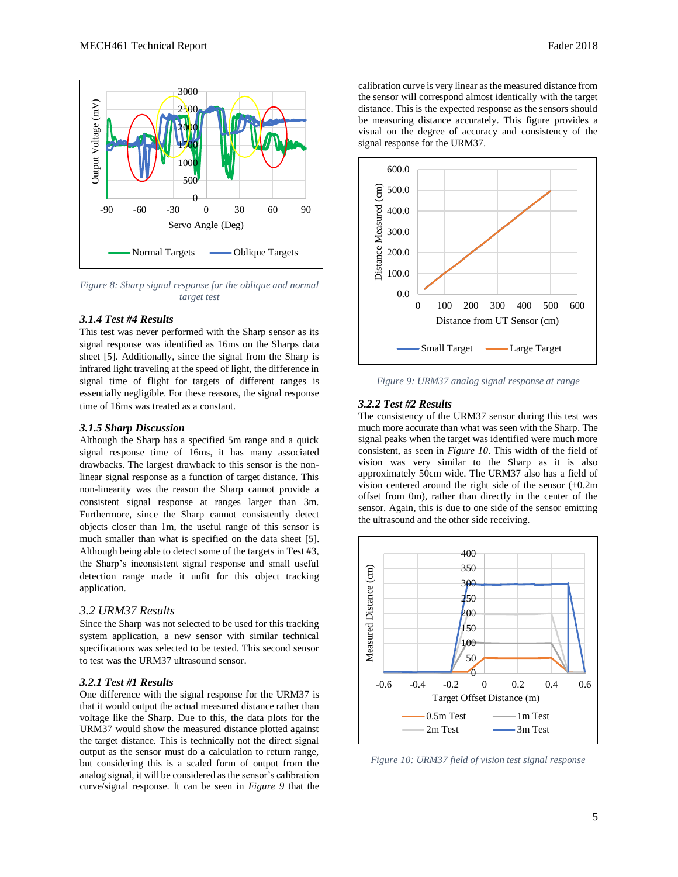

*Figure 8: Sharp signal response for the oblique and normal target test*

# *3.1.4 Test #4 Results*

This test was never performed with the Sharp sensor as its signal response was identified as 16ms on the Sharps data sheet [5]. Additionally, since the signal from the Sharp is infrared light traveling at the speed of light, the difference in signal time of flight for targets of different ranges is essentially negligible. For these reasons, the signal response time of 16ms was treated as a constant.

## *3.1.5 Sharp Discussion*

Although the Sharp has a specified 5m range and a quick signal response time of 16ms, it has many associated drawbacks. The largest drawback to this sensor is the nonlinear signal response as a function of target distance. This non-linearity was the reason the Sharp cannot provide a consistent signal response at ranges larger than 3m. Furthermore, since the Sharp cannot consistently detect objects closer than 1m, the useful range of this sensor is much smaller than what is specified on the data sheet [5]. Although being able to detect some of the targets in Test #3, the Sharp's inconsistent signal response and small useful detection range made it unfit for this object tracking application.

#### *3.2 URM37 Results*

Since the Sharp was not selected to be used for this tracking system application, a new sensor with similar technical specifications was selected to be tested. This second sensor to test was the URM37 ultrasound sensor.

# *3.2.1 Test #1 Results*

One difference with the signal response for the URM37 is that it would output the actual measured distance rather than voltage like the Sharp. Due to this, the data plots for the URM37 would show the measured distance plotted against the target distance. This is technically not the direct signal output as the sensor must do a calculation to return range, but considering this is a scaled form of output from the analog signal, it will be considered as the sensor's calibration curve/signal response. It can be seen in *Figure 9* that the

calibration curve is very linear as the measured distance from the sensor will correspond almost identically with the target distance. This is the expected response as the sensors should be measuring distance accurately. This figure provides a visual on the degree of accuracy and consistency of the signal response for the URM37.



*Figure 9: URM37 analog signal response at range*

# *3.2.2 Test #2 Results*

The consistency of the URM37 sensor during this test was much more accurate than what was seen with the Sharp. The signal peaks when the target was identified were much more consistent, as seen in *Figure 10*. This width of the field of vision was very similar to the Sharp as it is also approximately 50cm wide. The URM37 also has a field of vision centered around the right side of the sensor (+0.2m offset from 0m), rather than directly in the center of the sensor. Again, this is due to one side of the sensor emitting the ultrasound and the other side receiving.



*Figure 10: URM37 field of vision test signal response*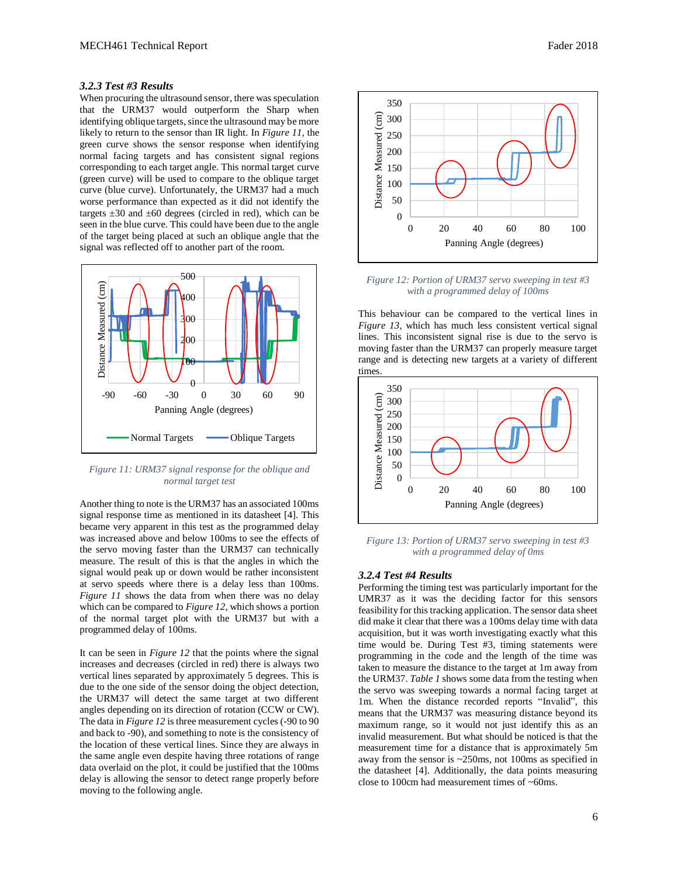## *3.2.3 Test #3 Results*

When procuring the ultrasound sensor, there was speculation that the URM37 would outperform the Sharp when identifying oblique targets, since the ultrasound may be more likely to return to the sensor than IR light. In *Figure 11,* the green curve shows the sensor response when identifying normal facing targets and has consistent signal regions corresponding to each target angle. This normal target curve (green curve) will be used to compare to the oblique target curve (blue curve). Unfortunately, the URM37 had a much worse performance than expected as it did not identify the targets  $\pm 30$  and  $\pm 60$  degrees (circled in red), which can be seen in the blue curve. This could have been due to the angle of the target being placed at such an oblique angle that the signal was reflected off to another part of the room.



*Figure 11: URM37 signal response for the oblique and normal target test*

Another thing to note is the URM37 has an associated 100ms signal response time as mentioned in its datasheet [4]. This became very apparent in this test as the programmed delay was increased above and below 100ms to see the effects of the servo moving faster than the URM37 can technically measure. The result of this is that the angles in which the signal would peak up or down would be rather inconsistent at servo speeds where there is a delay less than 100ms. *Figure 11* shows the data from when there was no delay which can be compared to *Figure 12,* which shows a portion of the normal target plot with the URM37 but with a programmed delay of 100ms.

It can be seen in *Figure 12* that the points where the signal increases and decreases (circled in red) there is always two vertical lines separated by approximately 5 degrees. This is due to the one side of the sensor doing the object detection, the URM37 will detect the same target at two different angles depending on its direction of rotation (CCW or CW). The data in *Figure 12* is three measurement cycles (-90 to 90 and back to -90), and something to note is the consistency of the location of these vertical lines. Since they are always in the same angle even despite having three rotations of range data overlaid on the plot, it could be justified that the 100ms delay is allowing the sensor to detect range properly before moving to the following angle.



*Figure 12: Portion of URM37 servo sweeping in test #3 with a programmed delay of 100ms*

This behaviour can be compared to the vertical lines in *Figure 13*, which has much less consistent vertical signal lines. This inconsistent signal rise is due to the servo is moving faster than the URM37 can properly measure target range and is detecting new targets at a variety of different times.



*Figure 13: Portion of URM37 servo sweeping in test #3 with a programmed delay of 0ms*

#### *3.2.4 Test #4 Results*

Performing the timing test was particularly important for the UMR37 as it was the deciding factor for this sensors feasibility for this tracking application. The sensor data sheet did make it clear that there was a 100ms delay time with data acquisition, but it was worth investigating exactly what this time would be. During Test #3, timing statements were programming in the code and the length of the time was taken to measure the distance to the target at 1m away from the URM37. *Table 1* shows some data from the testing when the servo was sweeping towards a normal facing target at 1m. When the distance recorded reports "Invalid", this means that the URM37 was measuring distance beyond its maximum range, so it would not just identify this as an invalid measurement. But what should be noticed is that the measurement time for a distance that is approximately 5m away from the sensor is ~250ms, not 100ms as specified in the datasheet [4]. Additionally, the data points measuring close to 100cm had measurement times of ~60ms.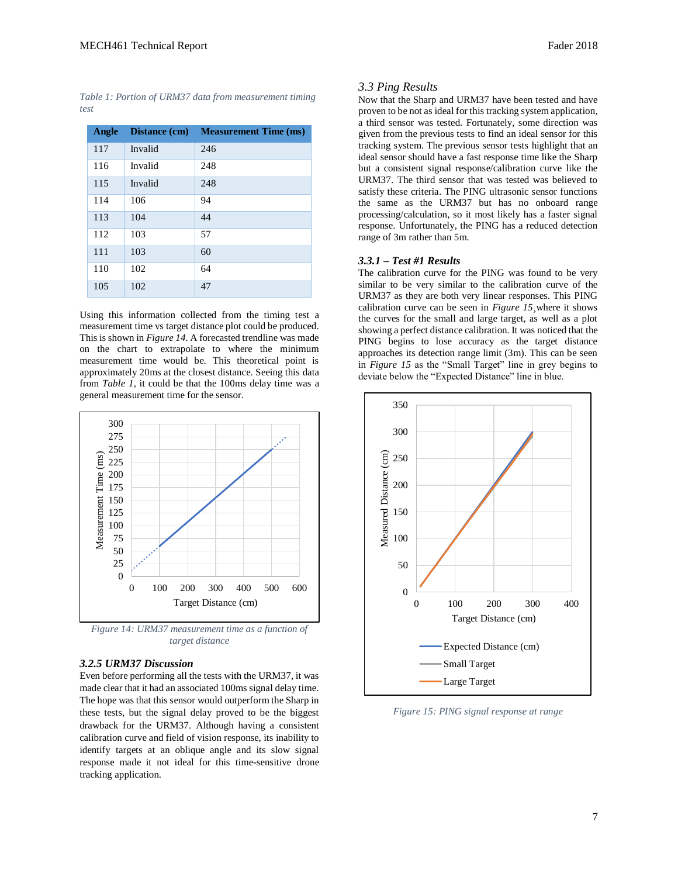*Table 1: Portion of URM37 data from measurement timing test*

| Angle | Distance (cm) | <b>Measurement Time (ms)</b> |
|-------|---------------|------------------------------|
| 117   | Invalid       | 246                          |
| 116   | Invalid       | 248                          |
| 115   | Invalid       | 248                          |
| 114   | 106           | 94                           |
| 113   | 104           | 44                           |
| 112   | 103           | 57                           |
| 111   | 103           | 60                           |
| 110   | 102           | 64                           |
| 105   | 102           | 47                           |

Using this information collected from the timing test a measurement time vs target distance plot could be produced. This is shown in *Figure 14.* A forecasted trendline was made on the chart to extrapolate to where the minimum measurement time would be. This theoretical point is approximately 20ms at the closest distance. Seeing this data from *Table 1,* it could be that the 100ms delay time was a general measurement time for the sensor.



*Figure 14: URM37 measurement time as a function of target distance*

#### *3.2.5 URM37 Discussion*

Even before performing all the tests with the URM37, it was made clear that it had an associated 100ms signal delay time. The hope was that this sensor would outperform the Sharp in these tests, but the signal delay proved to be the biggest drawback for the URM37. Although having a consistent calibration curve and field of vision response, its inability to identify targets at an oblique angle and its slow signal response made it not ideal for this time-sensitive drone tracking application.

# *3.3 Ping Results*

Now that the Sharp and URM37 have been tested and have proven to be not as ideal for this tracking system application, a third sensor was tested. Fortunately, some direction was given from the previous tests to find an ideal sensor for this tracking system. The previous sensor tests highlight that an ideal sensor should have a fast response time like the Sharp but a consistent signal response/calibration curve like the URM37. The third sensor that was tested was believed to satisfy these criteria. The PING ultrasonic sensor functions the same as the URM37 but has no onboard range processing/calculation, so it most likely has a faster signal response. Unfortunately, the PING has a reduced detection range of 3m rather than 5m.

### *3.3.1 – Test #1 Results*

The calibration curve for the PING was found to be very similar to be very similar to the calibration curve of the URM37 as they are both very linear responses. This PING calibration curve can be seen in *Figure 15¸*where it shows the curves for the small and large target, as well as a plot showing a perfect distance calibration. It was noticed that the PING begins to lose accuracy as the target distance approaches its detection range limit (3m). This can be seen in *Figure 15* as the "Small Target" line in grey begins to deviate below the "Expected Distance" line in blue.



*Figure 15: PING signal response at range*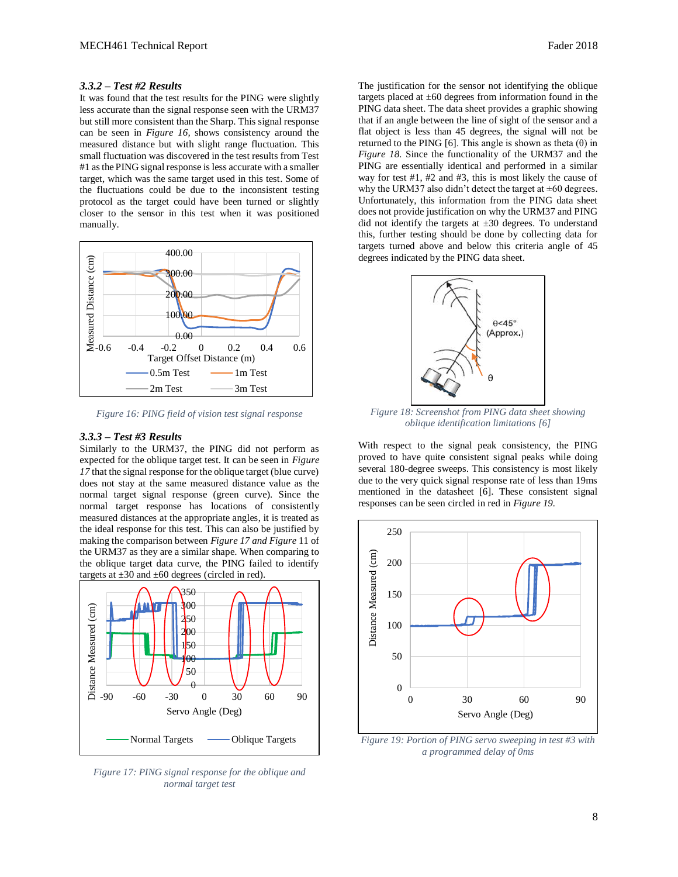# *3.3.2 – Test #2 Results*

It was found that the test results for the PING were slightly less accurate than the signal response seen with the URM37 but still more consistent than the Sharp. This signal response can be seen in *Figure 16,* shows consistency around the measured distance but with slight range fluctuation. This small fluctuation was discovered in the test results from Test #1 as the PING signal response is less accurate with a smaller target, which was the same target used in this test. Some of the fluctuations could be due to the inconsistent testing protocol as the target could have been turned or slightly closer to the sensor in this test when it was positioned manually.



*Figure 16: PING field of vision test signal response*

#### *3.3.3 – Test #3 Results*

Similarly to the URM37, the PING did not perform as expected for the oblique target test. It can be seen in *Figure 17* that the signal response for the oblique target (blue curve) does not stay at the same measured distance value as the normal target signal response (green curve). Since the normal target response has locations of consistently measured distances at the appropriate angles, it is treated as the ideal response for this test. This can also be justified by making the comparison between *Figure 17 and Figure* 11 of the URM37 as they are a similar shape. When comparing to the oblique target data curve, the PING failed to identify targets at  $\pm 30$  and  $\pm 60$  degrees (circled in red).



*Figure 17: PING signal response for the oblique and normal target test*

The justification for the sensor not identifying the oblique targets placed at  $\pm 60$  degrees from information found in the PING data sheet. The data sheet provides a graphic showing that if an angle between the line of sight of the sensor and a flat object is less than 45 degrees, the signal will not be returned to the PING [6]. This angle is shown as theta  $(θ)$  in *Figure 18.* Since the functionality of the URM37 and the PING are essentially identical and performed in a similar way for test #1, #2 and #3, this is most likely the cause of why the URM37 also didn't detect the target at  $\pm 60$  degrees. Unfortunately, this information from the PING data sheet does not provide justification on why the URM37 and PING did not identify the targets at  $\pm 30$  degrees. To understand this, further testing should be done by collecting data for targets turned above and below this criteria angle of 45 degrees indicated by the PING data sheet.



*Figure 18: Screenshot from PING data sheet showing oblique identification limitations [6]*

With respect to the signal peak consistency, the PING proved to have quite consistent signal peaks while doing several 180-degree sweeps. This consistency is most likely due to the very quick signal response rate of less than 19ms mentioned in the datasheet [6]. These consistent signal responses can be seen circled in red in *Figure 19.*



*Figure 19: Portion of PING servo sweeping in test #3 with a programmed delay of 0ms*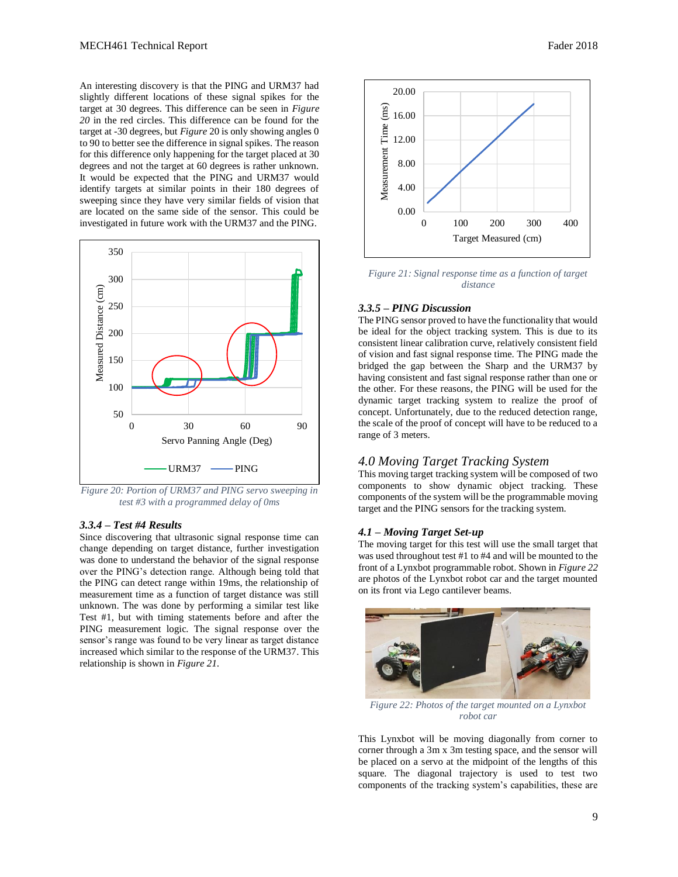An interesting discovery is that the PING and URM37 had slightly different locations of these signal spikes for the target at 30 degrees. This difference can be seen in *Figure 20* in the red circles. This difference can be found for the target at -30 degrees, but *Figure* 20 is only showing angles 0 to 90 to better see the difference in signal spikes. The reason for this difference only happening for the target placed at 30 degrees and not the target at 60 degrees is rather unknown. It would be expected that the PING and URM37 would identify targets at similar points in their 180 degrees of sweeping since they have very similar fields of vision that are located on the same side of the sensor. This could be investigated in future work with the URM37 and the PING.



*Figure 20: Portion of URM37 and PING servo sweeping in test #3 with a programmed delay of 0ms*

# *3.3.4 – Test #4 Results*

Since discovering that ultrasonic signal response time can change depending on target distance, further investigation was done to understand the behavior of the signal response over the PING's detection range. Although being told that the PING can detect range within 19ms, the relationship of measurement time as a function of target distance was still unknown. The was done by performing a similar test like Test #1, but with timing statements before and after the PING measurement logic. The signal response over the sensor's range was found to be very linear as target distance increased which similar to the response of the URM37. This relationship is shown in *Figure 21.*



*Figure 21: Signal response time as a function of target distance*

# *3.3.5 – PING Discussion*

The PING sensor proved to have the functionality that would be ideal for the object tracking system. This is due to its consistent linear calibration curve, relatively consistent field of vision and fast signal response time. The PING made the bridged the gap between the Sharp and the URM37 by having consistent and fast signal response rather than one or the other. For these reasons, the PING will be used for the dynamic target tracking system to realize the proof of concept. Unfortunately, due to the reduced detection range, the scale of the proof of concept will have to be reduced to a range of 3 meters.

# *4.0 Moving Target Tracking System*

This moving target tracking system will be composed of two components to show dynamic object tracking. These components of the system will be the programmable moving target and the PING sensors for the tracking system.

#### *4.1 – Moving Target Set-up*

The moving target for this test will use the small target that was used throughout test #1 to #4 and will be mounted to the front of a Lynxbot programmable robot. Shown in *Figure 22* are photos of the Lynxbot robot car and the target mounted on its front via Lego cantilever beams.



*Figure 22: Photos of the target mounted on a Lynxbot robot car*

This Lynxbot will be moving diagonally from corner to corner through a 3m x 3m testing space, and the sensor will be placed on a servo at the midpoint of the lengths of this square. The diagonal trajectory is used to test two components of the tracking system's capabilities, these are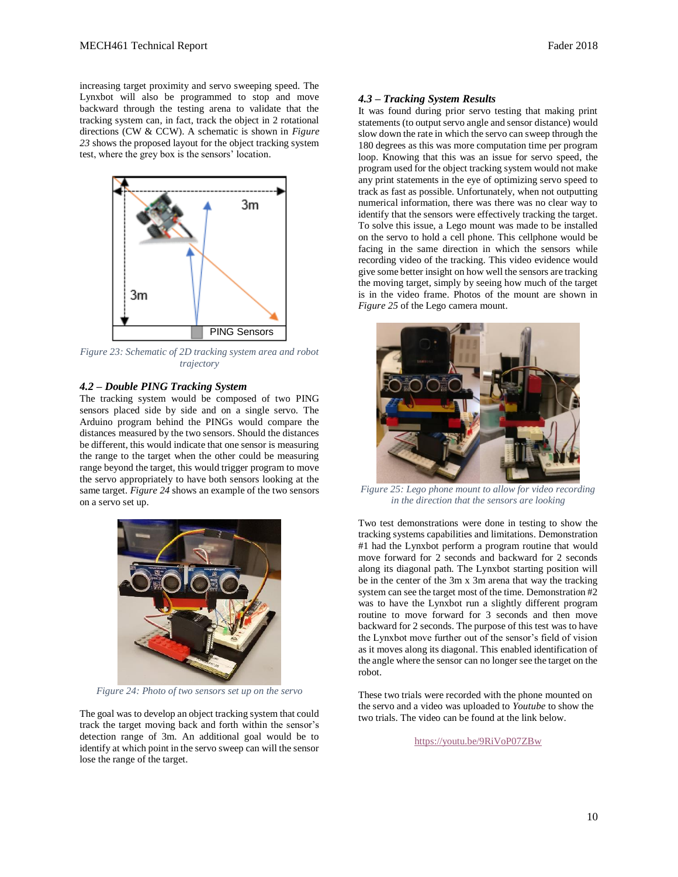increasing target proximity and servo sweeping speed. The Lynxbot will also be programmed to stop and move backward through the testing arena to validate that the tracking system can, in fact, track the object in 2 rotational directions (CW & CCW). A schematic is shown in *Figure 23* shows the proposed layout for the object tracking system test, where the grey box is the sensors' location.



*Figure 23: Schematic of 2D tracking system area and robot trajectory*

### *4.2 – Double PING Tracking System*

The tracking system would be composed of two PING sensors placed side by side and on a single servo. The Arduino program behind the PINGs would compare the distances measured by the two sensors. Should the distances be different, this would indicate that one sensor is measuring the range to the target when the other could be measuring range beyond the target, this would trigger program to move the servo appropriately to have both sensors looking at the same target. *Figure 24* shows an example of the two sensors on a servo set up.



*Figure 24: Photo of two sensors set up on the servo*

The goal was to develop an object tracking system that could track the target moving back and forth within the sensor's detection range of 3m. An additional goal would be to identify at which point in the servo sweep can will the sensor lose the range of the target.

## *4.3 – Tracking System Results*

It was found during prior servo testing that making print statements (to output servo angle and sensor distance) would slow down the rate in which the servo can sweep through the 180 degrees as this was more computation time per program loop. Knowing that this was an issue for servo speed, the program used for the object tracking system would not make any print statements in the eye of optimizing servo speed to track as fast as possible. Unfortunately, when not outputting numerical information, there was there was no clear way to identify that the sensors were effectively tracking the target. To solve this issue, a Lego mount was made to be installed on the servo to hold a cell phone. This cellphone would be facing in the same direction in which the sensors while recording video of the tracking. This video evidence would give some better insight on how well the sensors are tracking the moving target, simply by seeing how much of the target is in the video frame. Photos of the mount are shown in *Figure 25* of the Lego camera mount.



*Figure 25: Lego phone mount to allow for video recording in the direction that the sensors are looking*

Two test demonstrations were done in testing to show the tracking systems capabilities and limitations. Demonstration #1 had the Lynxbot perform a program routine that would move forward for 2 seconds and backward for 2 seconds along its diagonal path. The Lynxbot starting position will be in the center of the 3m x 3m arena that way the tracking system can see the target most of the time. Demonstration #2 was to have the Lynxbot run a slightly different program routine to move forward for 3 seconds and then move backward for 2 seconds. The purpose of this test was to have the Lynxbot move further out of the sensor's field of vision as it moves along its diagonal. This enabled identification of the angle where the sensor can no longer see the target on the robot.

These two trials were recorded with the phone mounted on the servo and a video was uploaded to *Youtube* to show the two trials. The video can be found at the link below.

<https://youtu.be/9RiVoP07ZBw>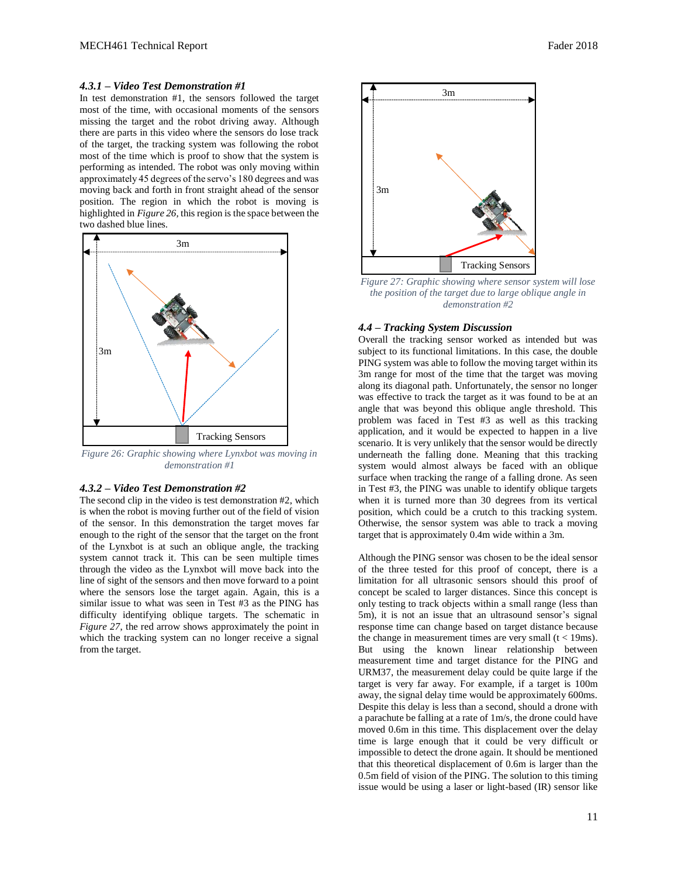## *4.3.1 – Video Test Demonstration #1*

In test demonstration #1, the sensors followed the target most of the time, with occasional moments of the sensors missing the target and the robot driving away. Although there are parts in this video where the sensors do lose track of the target, the tracking system was following the robot most of the time which is proof to show that the system is performing as intended. The robot was only moving within approximately 45 degrees of the servo's 180 degrees and was moving back and forth in front straight ahead of the sensor position. The region in which the robot is moving is highlighted in *Figure 26,* this region is the space between the two dashed blue lines*.*



*Figure 26: Graphic showing where Lynxbot was moving in demonstration #1*

#### *4.3.2 – Video Test Demonstration #2*

The second clip in the video is test demonstration #2, which is when the robot is moving further out of the field of vision of the sensor. In this demonstration the target moves far enough to the right of the sensor that the target on the front of the Lynxbot is at such an oblique angle, the tracking system cannot track it. This can be seen multiple times through the video as the Lynxbot will move back into the line of sight of the sensors and then move forward to a point where the sensors lose the target again. Again, this is a similar issue to what was seen in Test #3 as the PING has difficulty identifying oblique targets. The schematic in *Figure 27*, the red arrow shows approximately the point in which the tracking system can no longer receive a signal from the target.



*Figure 27: Graphic showing where sensor system will lose the position of the target due to large oblique angle in demonstration #2*

## *4.4 – Tracking System Discussion*

Overall the tracking sensor worked as intended but was subject to its functional limitations. In this case, the double PING system was able to follow the moving target within its 3m range for most of the time that the target was moving along its diagonal path. Unfortunately, the sensor no longer was effective to track the target as it was found to be at an angle that was beyond this oblique angle threshold. This problem was faced in Test #3 as well as this tracking application, and it would be expected to happen in a live scenario. It is very unlikely that the sensor would be directly underneath the falling done. Meaning that this tracking system would almost always be faced with an oblique surface when tracking the range of a falling drone. As seen in Test #3, the PING was unable to identify oblique targets when it is turned more than 30 degrees from its vertical position, which could be a crutch to this tracking system. Otherwise, the sensor system was able to track a moving target that is approximately 0.4m wide within a 3m.

Although the PING sensor was chosen to be the ideal sensor of the three tested for this proof of concept, there is a limitation for all ultrasonic sensors should this proof of concept be scaled to larger distances. Since this concept is only testing to track objects within a small range (less than 5m), it is not an issue that an ultrasound sensor's signal response time can change based on target distance because the change in measurement times are very small  $(t < 19 \text{ms})$ . But using the known linear relationship between measurement time and target distance for the PING and URM37, the measurement delay could be quite large if the target is very far away. For example, if a target is 100m away, the signal delay time would be approximately 600ms. Despite this delay is less than a second, should a drone with a parachute be falling at a rate of 1m/s, the drone could have moved 0.6m in this time. This displacement over the delay time is large enough that it could be very difficult or impossible to detect the drone again. It should be mentioned that this theoretical displacement of 0.6m is larger than the 0.5m field of vision of the PING. The solution to this timing issue would be using a laser or light-based (IR) sensor like